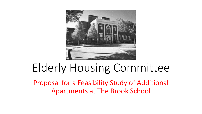

# Elderly Housing Committee

Proposal for a Feasibility Study of Additional Apartments at The Brook School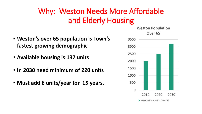# Why: Weston Needs More Affordable and Elderly Housing

- **Weston's over 65 population is Town's fastest growing demographic**
- **Available housing is 137 units**
- **In 2030 need minimum of 220 units**
- **Must add 6 units/year for 15 years.**

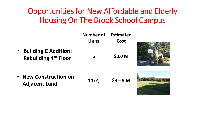# Opportunities for New Affordable and Elderly Housing On The Brook School Campus

|           |                                                            | Number of<br><b>Units</b> | <b>Estimated</b><br><b>Cost</b> |  |
|-----------|------------------------------------------------------------|---------------------------|---------------------------------|--|
| $\bullet$ | <b>Building C Addition:</b><br><b>Rebuilding 4th Floor</b> | 6                         | \$3.0 M                         |  |
| $\bullet$ | <b>New Construction on</b><br><b>Adjacent Land</b>         | 14(?)                     | $$4 - 5 M$                      |  |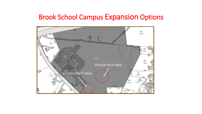#### Brook School Campus Expansion Options

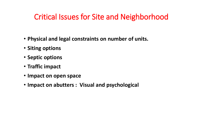## Critical Issues for Site and Neighborhood

- **Physical and legal constraints on number of units.**
- **Siting options**
- **Septic options**
- **Traffic impact**
- **Impact on open space**
- **Impact on abutters : Visual and psychological**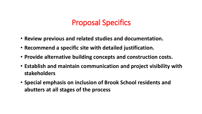## Proposal Specifics

- **Review previous and related studies and documentation.**
- **Recommend a specific site with detailed justification.**
- **Provide alternative building concepts and construction costs.**
- **Establish and maintain communication and project visibility with stakeholders**
- **Special emphasis on inclusion of Brook School residents and abutters at all stages of the process**